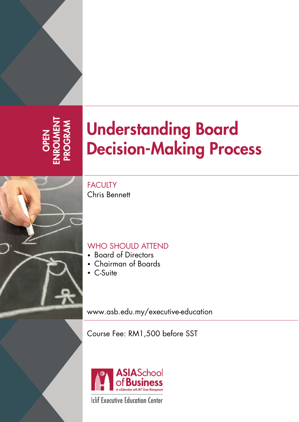OPEN<br>VROLMENT<br>ROGRAM ENROLMENT PROGRAM

# Understanding Board Decision-Making Process

**FACULTY** Chris Bennett

## WHO SHOULD ATTEND

- Board of Directors
- Chairman of Boards
- C-Suite

<www.asb.edu.my/executive-education>

Course Fee: RM1,500 before SST



**Iclif Executive Education Center**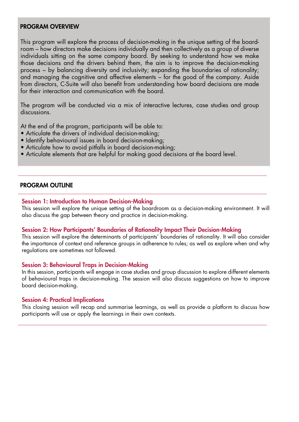#### PROGRAM OVERVIEW

This program will explore the process of decision-making in the unique setting of the boardroom – how directors make decisions individually and then collectively as a group of diverse individuals sitting on the same company board. By seeking to understand how we make those decisions and the drivers behind them, the aim is to improve the decision-making process – by balancing diversity and inclusivity; expanding the boundaries of rationality; and managing the cognitive and affective elements – for the good of the company. Aside from directors, C-Suite will also benefit from understanding how board decisions are made for their interaction and communication with the board.

The program will be conducted via a mix of interactive lectures, case studies and group discussions.

At the end of the program, participants will be able to:

- Articulate the drivers of individual decision-making;
- Identify behavioural issues in board decision-making;
- Articulate how to avoid pitfalls in board decision-making;
- Articulate elements that are helpful for making good decisions at the board level.

#### PROGRAM OUTLINE

#### Session 1: Introduction to Human Decision-Making

This session will explore the unique setting of the boardroom as a decision-making environment. It will also discuss the gap between theory and practice in decision-making.

#### Session 2: How Participants' Boundaries of Rationality Impact Their Decision-Making

This session will explore the determinants of participants' boundaries of rationality. It will also consider the importance of context and reference groups in adherence to rules; as well as explore when and why regulations are sometimes not followed.

#### Session 3: Behavioural Traps in Decision-Making

In this session, participants will engage in case studies and group discussion to explore different elements of behavioural traps in decision-making. The session will also discuss suggestions on how to improve board decision-making.

#### Session 4: Practical Implications

This closing session will recap and summarise learnings, as well as provide a platform to discuss how participants will use or apply the learnings in their own contexts.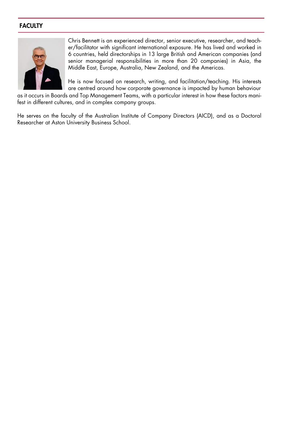### **FACULTY**



Chris Bennett is an experienced director, senior executive, researcher, and teacher/facilitator with significant international exposure. He has lived and worked in 6 countries, held directorships in 13 large British and American companies (and senior managerial responsibilities in more than 20 companies) in Asia, the Middle East, Europe, Australia, New Zealand, and the Americas.

He is now focused on research, writing, and facilitation/teaching. His interests are centred around how corporate governance is impacted by human behaviour

as it occurs in Boards and Top Management Teams, with a particular interest in how these factors manifest in different cultures, and in complex company groups.

He serves on the faculty of the Australian Institute of Company Directors (AICD), and as a Doctoral Researcher at Aston University Business School.